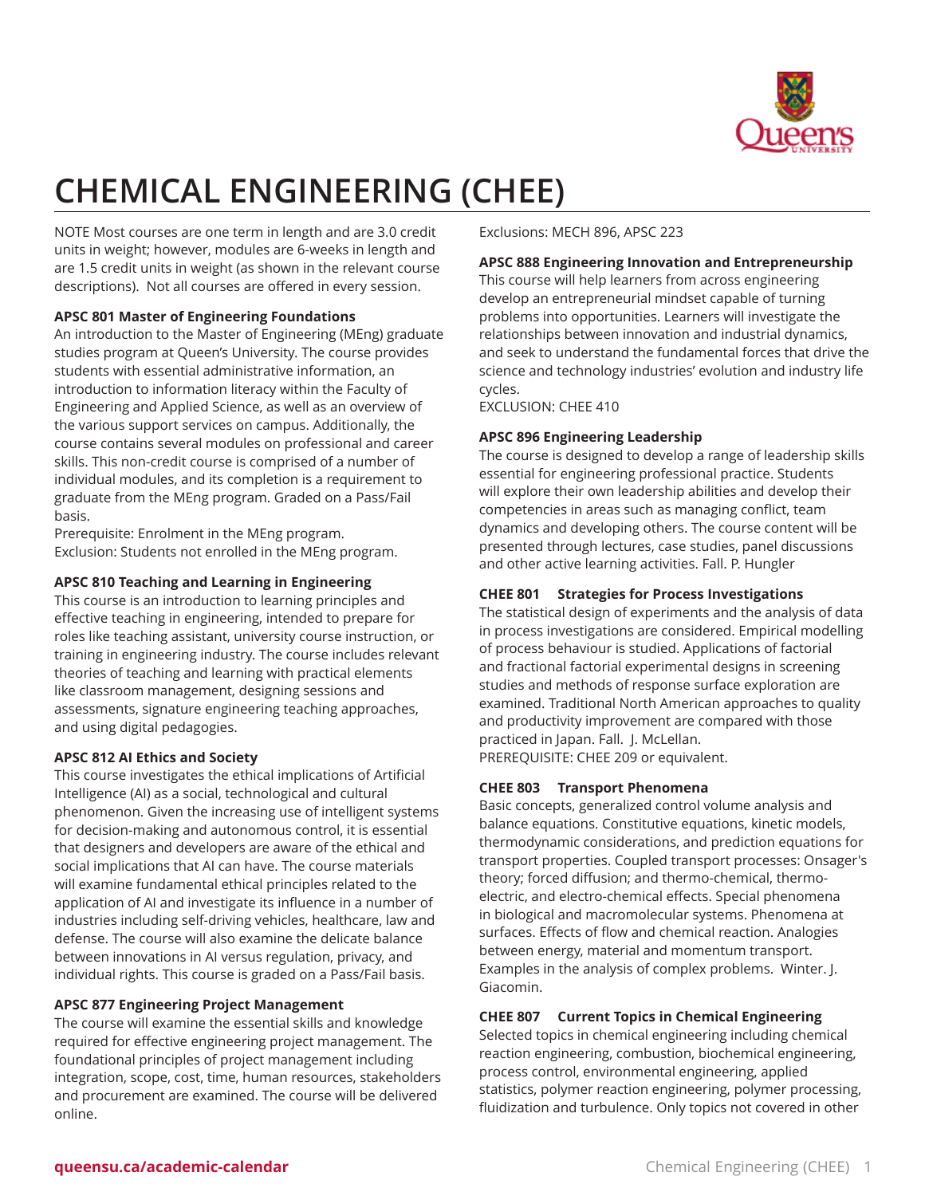

# **CHEMICAL ENGINEERING (CHEE)**

NOTE Most courses are one term in length and are 3.0 credit units in weight; however, modules are 6-weeks in length and are 1.5 credit units in weight (as shown in the relevant course descriptions). Not all courses are offered in every session.

## **APSC 801 Master of Engineering Foundations**

An introduction to the Master of Engineering (MEng) graduate studies program at Queen's University. The course provides students with essential administrative information, an introduction to information literacy within the Faculty of Engineering and Applied Science, as well as an overview of the various support services on campus. Additionally, the course contains several modules on professional and career skills. This non-credit course is comprised of a number of individual modules, and its completion is a requirement to graduate from the MEng program. Graded on a Pass/Fail basis.

Prerequisite: Enrolment in the MEng program. Exclusion: Students not enrolled in the MEng program.

## **APSC 810 Teaching and Learning in Engineering**

This course is an introduction to learning principles and effective teaching in engineering, intended to prepare for roles like teaching assistant, university course instruction, or training in engineering industry. The course includes relevant theories of teaching and learning with practical elements like classroom management, designing sessions and assessments, signature engineering teaching approaches, and using digital pedagogies.

# **APSC 812 AI Ethics and Society**

This course investigates the ethical implications of Artificial Intelligence (AI) as a social, technological and cultural phenomenon. Given the increasing use of intelligent systems for decision-making and autonomous control, it is essential that designers and developers are aware of the ethical and social implications that AI can have. The course materials will examine fundamental ethical principles related to the application of AI and investigate its influence in a number of industries including self-driving vehicles, healthcare, law and defense. The course will also examine the delicate balance between innovations in AI versus regulation, privacy, and individual rights. This course is graded on a Pass/Fail basis.

# **APSC 877 Engineering Project Management**

The course will examine the essential skills and knowledge required for effective engineering project management. The foundational principles of project management including integration, scope, cost, time, human resources, stakeholders and procurement are examined. The course will be delivered online.

Exclusions: MECH 896, APSC 223

## **APSC 888 Engineering Innovation and Entrepreneurship**

This course will help learners from across engineering develop an entrepreneurial mindset capable of turning problems into opportunities. Learners will investigate the relationships between innovation and industrial dynamics, and seek to understand the fundamental forces that drive the science and technology industries' evolution and industry life cycles.

EXCLUSION: CHEE 410

## **APSC 896 Engineering Leadership**

The course is designed to develop a range of leadership skills essential for engineering professional practice. Students will explore their own leadership abilities and develop their competencies in areas such as managing conflict, team dynamics and developing others. The course content will be presented through lectures, case studies, panel discussions and other active learning activities. Fall. P. Hungler

# **CHEE 801 Strategies for Process Investigations**

The statistical design of experiments and the analysis of data in process investigations are considered. Empirical modelling of process behaviour is studied. Applications of factorial and fractional factorial experimental designs in screening studies and methods of response surface exploration are examined. Traditional North American approaches to quality and productivity improvement are compared with those practiced in Japan. Fall. J. McLellan. PREREQUISITE: CHEE 209 or equivalent.

## **CHEE 803 Transport Phenomena**

Basic concepts, generalized control volume analysis and balance equations. Constitutive equations, kinetic models, thermodynamic considerations, and prediction equations for transport properties. Coupled transport processes: Onsager's theory; forced diffusion; and thermo-chemical, thermoelectric, and electro-chemical effects. Special phenomena in biological and macromolecular systems. Phenomena at surfaces. Effects of flow and chemical reaction. Analogies between energy, material and momentum transport. Examples in the analysis of complex problems. Winter. J. Giacomin.

## **CHEE 807 Current Topics in Chemical Engineering**

Selected topics in chemical engineering including chemical reaction engineering, combustion, biochemical engineering, process control, environmental engineering, applied statistics, polymer reaction engineering, polymer processing, fluidization and turbulence. Only topics not covered in other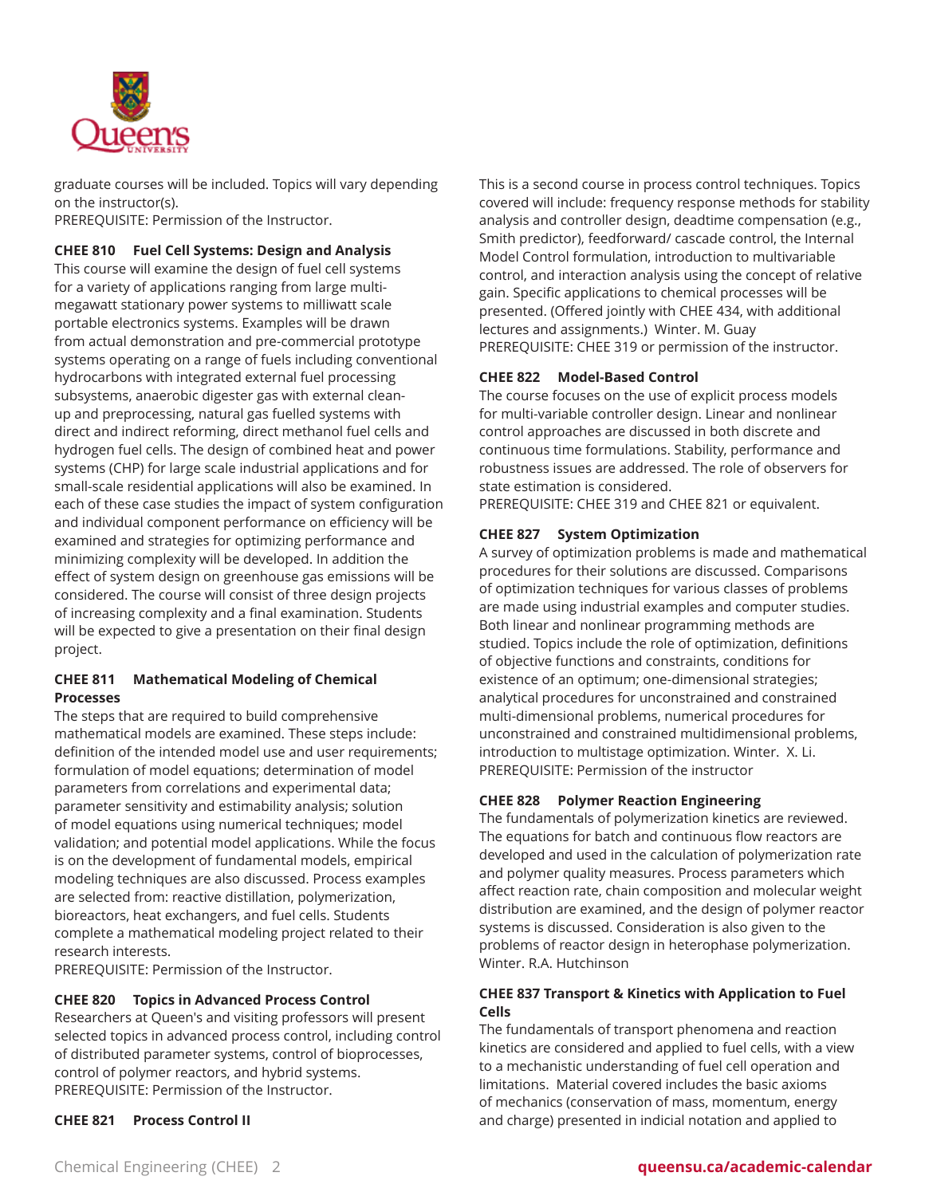

graduate courses will be included. Topics will vary depending on the instructor(s).

PREREQUISITE: Permission of the Instructor.

## **CHEE 810 Fuel Cell Systems: Design and Analysis**

This course will examine the design of fuel cell systems for a variety of applications ranging from large multimegawatt stationary power systems to milliwatt scale portable electronics systems. Examples will be drawn from actual demonstration and pre-commercial prototype systems operating on a range of fuels including conventional hydrocarbons with integrated external fuel processing subsystems, anaerobic digester gas with external cleanup and preprocessing, natural gas fuelled systems with direct and indirect reforming, direct methanol fuel cells and hydrogen fuel cells. The design of combined heat and power systems (CHP) for large scale industrial applications and for small-scale residential applications will also be examined. In each of these case studies the impact of system configuration and individual component performance on efficiency will be examined and strategies for optimizing performance and minimizing complexity will be developed. In addition the effect of system design on greenhouse gas emissions will be considered. The course will consist of three design projects of increasing complexity and a final examination. Students will be expected to give a presentation on their final design project.

## **CHEE 811 Mathematical Modeling of Chemical Processes**

The steps that are required to build comprehensive mathematical models are examined. These steps include: definition of the intended model use and user requirements; formulation of model equations; determination of model parameters from correlations and experimental data; parameter sensitivity and estimability analysis; solution of model equations using numerical techniques; model validation; and potential model applications. While the focus is on the development of fundamental models, empirical modeling techniques are also discussed. Process examples are selected from: reactive distillation, polymerization, bioreactors, heat exchangers, and fuel cells. Students complete a mathematical modeling project related to their research interests.

PREREQUISITE: Permission of the Instructor.

## **CHEE 820 Topics in Advanced Process Control**

Researchers at Queen's and visiting professors will present selected topics in advanced process control, including control of distributed parameter systems, control of bioprocesses, control of polymer reactors, and hybrid systems. PREREQUISITE: Permission of the Instructor.

**CHEE 821 Process Control II**

This is a second course in process control techniques. Topics covered will include: frequency response methods for stability analysis and controller design, deadtime compensation (e.g., Smith predictor), feedforward/ cascade control, the Internal Model Control formulation, introduction to multivariable control, and interaction analysis using the concept of relative gain. Specific applications to chemical processes will be presented. (Offered jointly with CHEE 434, with additional lectures and assignments.) Winter. M. Guay PREREQUISITE: CHEE 319 or permission of the instructor.

## **CHEE 822 Model-Based Control**

The course focuses on the use of explicit process models for multi-variable controller design. Linear and nonlinear control approaches are discussed in both discrete and continuous time formulations. Stability, performance and robustness issues are addressed. The role of observers for state estimation is considered.

PREREQUISITE: CHEE 319 and CHEE 821 or equivalent.

## **CHEE 827 System Optimization**

A survey of optimization problems is made and mathematical procedures for their solutions are discussed. Comparisons of optimization techniques for various classes of problems are made using industrial examples and computer studies. Both linear and nonlinear programming methods are studied. Topics include the role of optimization, definitions of objective functions and constraints, conditions for existence of an optimum; one-dimensional strategies; analytical procedures for unconstrained and constrained multi-dimensional problems, numerical procedures for unconstrained and constrained multidimensional problems, introduction to multistage optimization. Winter. X. Li. PREREQUISITE: Permission of the instructor

## **CHEE 828 Polymer Reaction Engineering**

The fundamentals of polymerization kinetics are reviewed. The equations for batch and continuous flow reactors are developed and used in the calculation of polymerization rate and polymer quality measures. Process parameters which affect reaction rate, chain composition and molecular weight distribution are examined, and the design of polymer reactor systems is discussed. Consideration is also given to the problems of reactor design in heterophase polymerization. Winter. R.A. Hutchinson

## **CHEE 837 Transport & Kinetics with Application to Fuel Cells**

The fundamentals of transport phenomena and reaction kinetics are considered and applied to fuel cells, with a view to a mechanistic understanding of fuel cell operation and limitations. Material covered includes the basic axioms of mechanics (conservation of mass, momentum, energy and charge) presented in indicial notation and applied to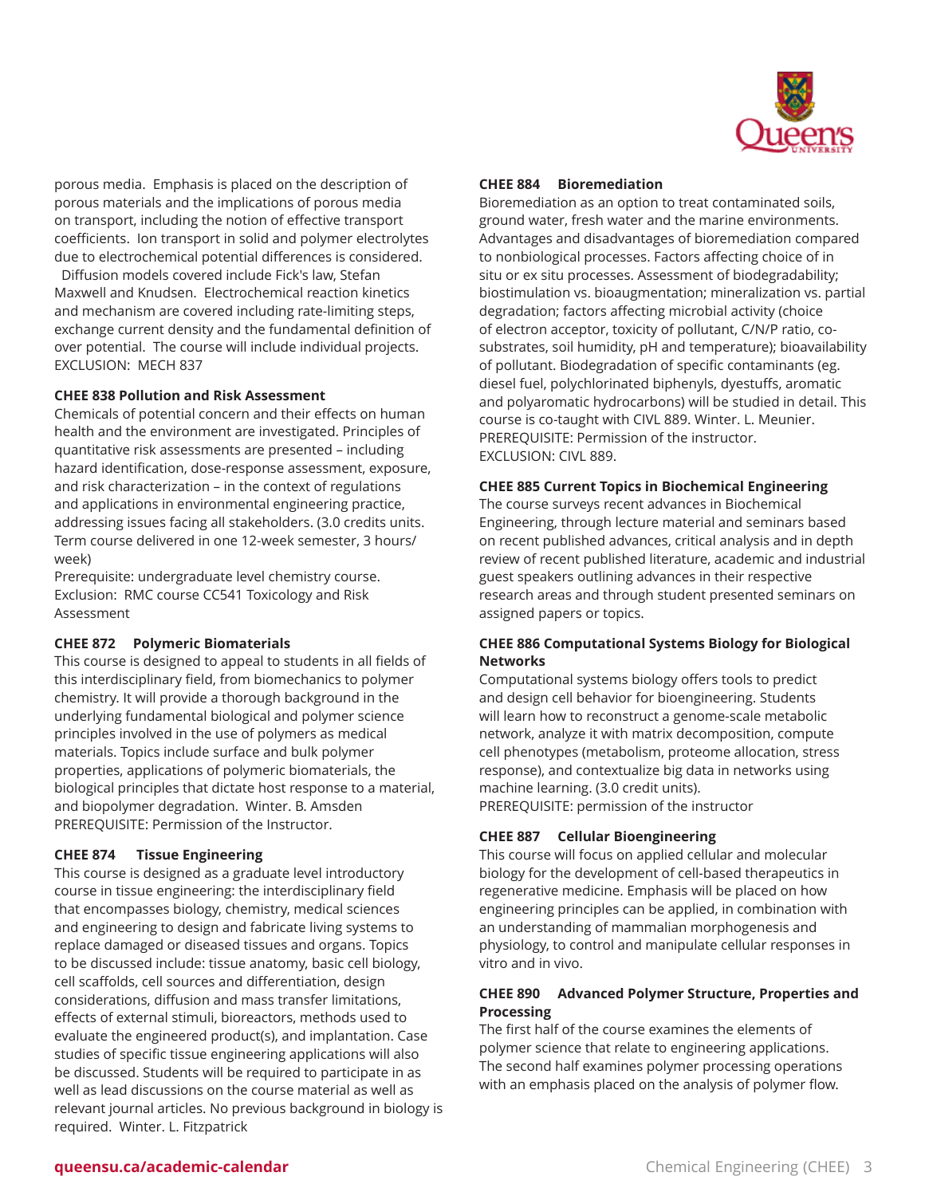

porous media. Emphasis is placed on the description of porous materials and the implications of porous media on transport, including the notion of effective transport coefficients. Ion transport in solid and polymer electrolytes due to electrochemical potential differences is considered.

Diffusion models covered include Fick's law, Stefan Maxwell and Knudsen. Electrochemical reaction kinetics and mechanism are covered including rate-limiting steps, exchange current density and the fundamental definition of over potential. The course will include individual projects. EXCLUSION: MECH 837

#### **CHEE 838 Pollution and Risk Assessment**

Chemicals of potential concern and their effects on human health and the environment are investigated. Principles of quantitative risk assessments are presented – including hazard identification, dose-response assessment, exposure, and risk characterization – in the context of regulations and applications in environmental engineering practice, addressing issues facing all stakeholders. (3.0 credits units. Term course delivered in one 12-week semester, 3 hours/ week)

Prerequisite: undergraduate level chemistry course. Exclusion: RMC course CC541 Toxicology and Risk Assessment

## **CHEE 872 Polymeric Biomaterials**

This course is designed to appeal to students in all fields of this interdisciplinary field, from biomechanics to polymer chemistry. It will provide a thorough background in the underlying fundamental biological and polymer science principles involved in the use of polymers as medical materials. Topics include surface and bulk polymer properties, applications of polymeric biomaterials, the biological principles that dictate host response to a material, and biopolymer degradation. Winter. B. Amsden PREREQUISITE: Permission of the Instructor.

## **CHEE 874 Tissue Engineering**

This course is designed as a graduate level introductory course in tissue engineering: the interdisciplinary field that encompasses biology, chemistry, medical sciences and engineering to design and fabricate living systems to replace damaged or diseased tissues and organs. Topics to be discussed include: tissue anatomy, basic cell biology, cell scaffolds, cell sources and differentiation, design considerations, diffusion and mass transfer limitations, effects of external stimuli, bioreactors, methods used to evaluate the engineered product(s), and implantation. Case studies of specific tissue engineering applications will also be discussed. Students will be required to participate in as well as lead discussions on the course material as well as relevant journal articles. No previous background in biology is required. Winter. L. Fitzpatrick

#### **CHEE 884 Bioremediation**

Bioremediation as an option to treat contaminated soils, ground water, fresh water and the marine environments. Advantages and disadvantages of bioremediation compared to nonbiological processes. Factors affecting choice of in situ or ex situ processes. Assessment of biodegradability; biostimulation vs. bioaugmentation; mineralization vs. partial degradation; factors affecting microbial activity (choice of electron acceptor, toxicity of pollutant, C/N/P ratio, cosubstrates, soil humidity, pH and temperature); bioavailability of pollutant. Biodegradation of specific contaminants (eg. diesel fuel, polychlorinated biphenyls, dyestuffs, aromatic and polyaromatic hydrocarbons) will be studied in detail. This course is co-taught with CIVL 889. Winter. L. Meunier. PREREQUISITE: Permission of the instructor. EXCLUSION: CIVL 889.

#### **CHEE 885 Current Topics in Biochemical Engineering**

The course surveys recent advances in Biochemical Engineering, through lecture material and seminars based on recent published advances, critical analysis and in depth review of recent published literature, academic and industrial guest speakers outlining advances in their respective research areas and through student presented seminars on assigned papers or topics.

## **CHEE 886 Computational Systems Biology for Biological Networks**

Computational systems biology offers tools to predict and design cell behavior for bioengineering. Students will learn how to reconstruct a genome-scale metabolic network, analyze it with matrix decomposition, compute cell phenotypes (metabolism, proteome allocation, stress response), and contextualize big data in networks using machine learning. (3.0 credit units). PREREQUISITE: permission of the instructor

## **CHEE 887 Cellular Bioengineering**

This course will focus on applied cellular and molecular biology for the development of cell-based therapeutics in regenerative medicine. Emphasis will be placed on how engineering principles can be applied, in combination with an understanding of mammalian morphogenesis and physiology, to control and manipulate cellular responses in vitro and in vivo.

## **CHEE 890 Advanced Polymer Structure, Properties and Processing**

The first half of the course examines the elements of polymer science that relate to engineering applications. The second half examines polymer processing operations with an emphasis placed on the analysis of polymer flow.

## **queensu.ca/academic-calendar** Chemical Engineering (CHEE) 3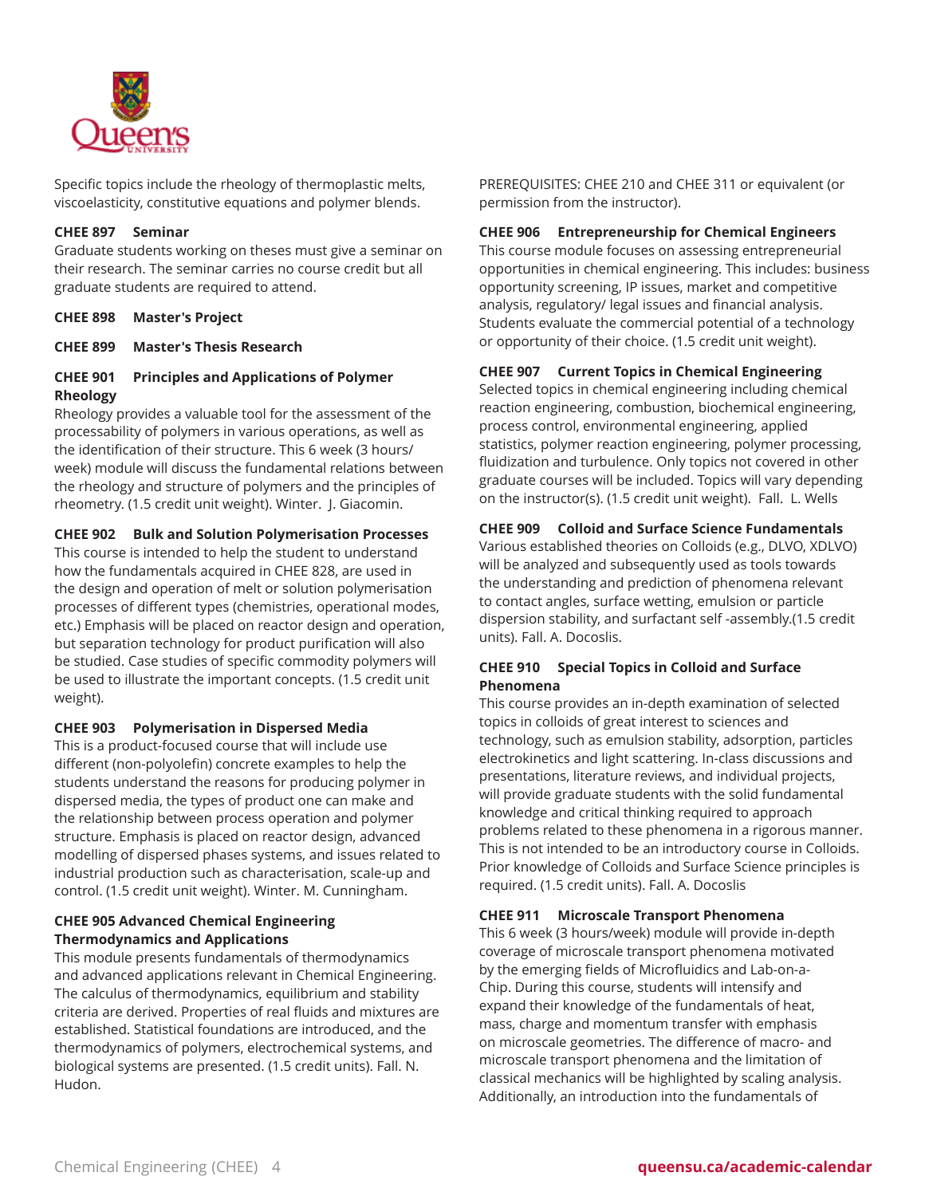

Specific topics include the rheology of thermoplastic melts, viscoelasticity, constitutive equations and polymer blends.

#### **CHEE 897 Seminar**

Graduate students working on theses must give a seminar on their research. The seminar carries no course credit but all graduate students are required to attend.

**CHEE 898 Master's Project**

**CHEE 899 Master's Thesis Research**

# **CHEE 901 Principles and Applications of Polymer Rheology**

Rheology provides a valuable tool for the assessment of the processability of polymers in various operations, as well as the identification of their structure. This 6 week (3 hours/ week) module will discuss the fundamental relations between the rheology and structure of polymers and the principles of rheometry. (1.5 credit unit weight). Winter. J. Giacomin.

**CHEE 902 Bulk and Solution Polymerisation Processes**

This course is intended to help the student to understand how the fundamentals acquired in CHEE 828, are used in the design and operation of melt or solution polymerisation processes of different types (chemistries, operational modes, etc.) Emphasis will be placed on reactor design and operation, but separation technology for product purification will also be studied. Case studies of specific commodity polymers will be used to illustrate the important concepts. (1.5 credit unit weight).

## **CHEE 903 Polymerisation in Dispersed Media**

This is a product-focused course that will include use different (non-polyolefin) concrete examples to help the students understand the reasons for producing polymer in dispersed media, the types of product one can make and the relationship between process operation and polymer structure. Emphasis is placed on reactor design, advanced modelling of dispersed phases systems, and issues related to industrial production such as characterisation, scale-up and control. (1.5 credit unit weight). Winter. M. Cunningham.

## **CHEE 905 Advanced Chemical Engineering Thermodynamics and Applications**

This module presents fundamentals of thermodynamics and advanced applications relevant in Chemical Engineering. The calculus of thermodynamics, equilibrium and stability criteria are derived. Properties of real fluids and mixtures are established. Statistical foundations are introduced, and the thermodynamics of polymers, electrochemical systems, and biological systems are presented. (1.5 credit units). Fall. N. Hudon.

PREREQUISITES: CHEE 210 and CHEE 311 or equivalent (or permission from the instructor).

## **CHEE 906 Entrepreneurship for Chemical Engineers**

This course module focuses on assessing entrepreneurial opportunities in chemical engineering. This includes: business opportunity screening, IP issues, market and competitive analysis, regulatory/ legal issues and financial analysis. Students evaluate the commercial potential of a technology or opportunity of their choice. (1.5 credit unit weight).

## **CHEE 907 Current Topics in Chemical Engineering**

Selected topics in chemical engineering including chemical reaction engineering, combustion, biochemical engineering, process control, environmental engineering, applied statistics, polymer reaction engineering, polymer processing, fluidization and turbulence. Only topics not covered in other graduate courses will be included. Topics will vary depending on the instructor(s). (1.5 credit unit weight). Fall. L. Wells

## **CHEE 909 Colloid and Surface Science Fundamentals**

Various established theories on Colloids (e.g., DLVO, XDLVO) will be analyzed and subsequently used as tools towards the understanding and prediction of phenomena relevant to contact angles, surface wetting, emulsion or particle dispersion stability, and surfactant self -assembly.(1.5 credit units). Fall. A. Docoslis.

## **CHEE 910 Special Topics in Colloid and Surface Phenomena**

This course provides an in-depth examination of selected topics in colloids of great interest to sciences and technology, such as emulsion stability, adsorption, particles electrokinetics and light scattering. In-class discussions and presentations, literature reviews, and individual projects, will provide graduate students with the solid fundamental knowledge and critical thinking required to approach problems related to these phenomena in a rigorous manner. This is not intended to be an introductory course in Colloids. Prior knowledge of Colloids and Surface Science principles is required. (1.5 credit units). Fall. A. Docoslis

## **CHEE 911 Microscale Transport Phenomena**

This 6 week (3 hours/week) module will provide in-depth coverage of microscale transport phenomena motivated by the emerging fields of Microfluidics and Lab-on-a-Chip. During this course, students will intensify and expand their knowledge of the fundamentals of heat, mass, charge and momentum transfer with emphasis on microscale geometries. The difference of macro- and microscale transport phenomena and the limitation of classical mechanics will be highlighted by scaling analysis. Additionally, an introduction into the fundamentals of